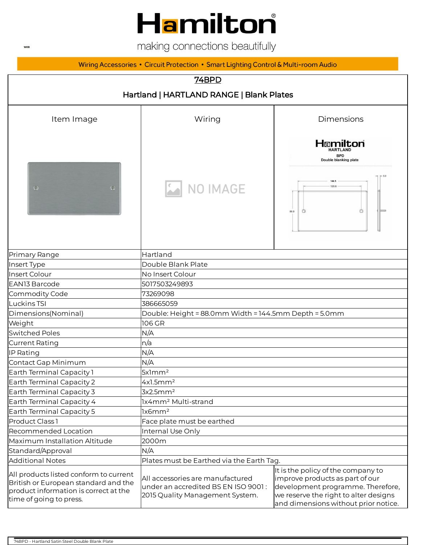# Hamilton

making connections beautifully

#### Wiring Accessories • Circuit Protection • Smart Lighting Control & Multi-room Audio

| 74BPD                                                                                                                                              |                                                                                                                                                                                                                                                                                                           |                                                                                     |  |
|----------------------------------------------------------------------------------------------------------------------------------------------------|-----------------------------------------------------------------------------------------------------------------------------------------------------------------------------------------------------------------------------------------------------------------------------------------------------------|-------------------------------------------------------------------------------------|--|
| Hartland   HARTLAND RANGE   Blank Plates                                                                                                           |                                                                                                                                                                                                                                                                                                           |                                                                                     |  |
| Item Image                                                                                                                                         | Wiring                                                                                                                                                                                                                                                                                                    | <b>Dimensions</b>                                                                   |  |
| $\bigodot$<br>$\bigodot$                                                                                                                           | NO IMAGE                                                                                                                                                                                                                                                                                                  | Hamilton<br><b>HARTLAND</b><br><b>BPD</b><br>Double blanking plate<br>120.6<br>88.0 |  |
| Primary Range                                                                                                                                      | Hartland                                                                                                                                                                                                                                                                                                  |                                                                                     |  |
| Insert Type                                                                                                                                        | Double Blank Plate                                                                                                                                                                                                                                                                                        |                                                                                     |  |
| Insert Colour                                                                                                                                      | No Insert Colour                                                                                                                                                                                                                                                                                          |                                                                                     |  |
| EAN13 Barcode                                                                                                                                      | 5017503249893                                                                                                                                                                                                                                                                                             |                                                                                     |  |
| Commodity Code                                                                                                                                     | 73269098                                                                                                                                                                                                                                                                                                  |                                                                                     |  |
| Luckins TSI                                                                                                                                        | 386665059                                                                                                                                                                                                                                                                                                 |                                                                                     |  |
| Dimensions(Nominal)                                                                                                                                | Double: Height = 88.0mm Width = 144.5mm Depth = 5.0mm                                                                                                                                                                                                                                                     |                                                                                     |  |
| Weight                                                                                                                                             | 106 GR                                                                                                                                                                                                                                                                                                    |                                                                                     |  |
| <b>Switched Poles</b>                                                                                                                              | N/A                                                                                                                                                                                                                                                                                                       |                                                                                     |  |
| <b>Current Rating</b>                                                                                                                              | n/a                                                                                                                                                                                                                                                                                                       |                                                                                     |  |
| IP Rating                                                                                                                                          | N/A                                                                                                                                                                                                                                                                                                       |                                                                                     |  |
| Contact Gap Minimum                                                                                                                                | N/A                                                                                                                                                                                                                                                                                                       |                                                                                     |  |
| Earth Terminal Capacity 1                                                                                                                          | 5x1mm <sup>2</sup>                                                                                                                                                                                                                                                                                        |                                                                                     |  |
| Earth Terminal Capacity 2                                                                                                                          | 4x1.5mm <sup>2</sup>                                                                                                                                                                                                                                                                                      |                                                                                     |  |
| Earth Terminal Capacity 3                                                                                                                          | 3x2.5mm <sup>2</sup>                                                                                                                                                                                                                                                                                      |                                                                                     |  |
| Earth Terminal Capacity 4                                                                                                                          | lx4mm <sup>2</sup> Multi-strand                                                                                                                                                                                                                                                                           |                                                                                     |  |
| Earth Terminal Capacity 5                                                                                                                          | lx6mm <sup>2</sup>                                                                                                                                                                                                                                                                                        |                                                                                     |  |
| Product Class 1                                                                                                                                    | Face plate must be earthed                                                                                                                                                                                                                                                                                |                                                                                     |  |
| Recommended Location                                                                                                                               | Internal Use Only                                                                                                                                                                                                                                                                                         |                                                                                     |  |
| Maximum Installation Altitude                                                                                                                      | 2000m                                                                                                                                                                                                                                                                                                     |                                                                                     |  |
| Standard/Approval                                                                                                                                  | N/A                                                                                                                                                                                                                                                                                                       |                                                                                     |  |
| <b>Additional Notes</b>                                                                                                                            | Plates must be Earthed via the Earth Tag.                                                                                                                                                                                                                                                                 |                                                                                     |  |
| All products listed conform to current<br>British or European standard and the<br>product information is correct at the<br>time of going to press. | It is the policy of the company to<br>All accessories are manufactured<br>improve products as part of our<br>under an accredited BS EN ISO 9001:<br>development programme. Therefore,<br>we reserve the right to alter designs<br>2015 Quality Management System.<br>and dimensions without prior notice. |                                                                                     |  |

 $\ensuremath{\mathsf{WEB}}$